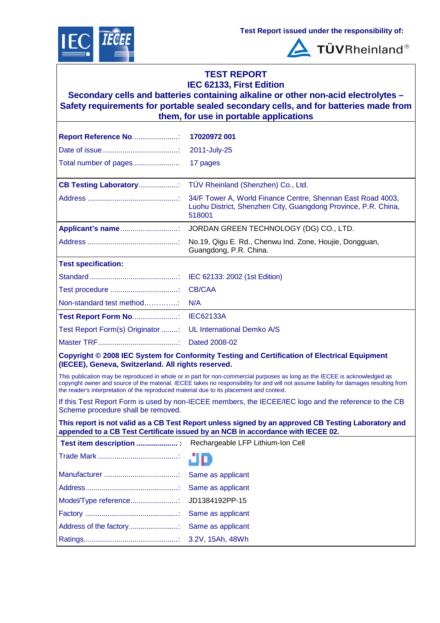



**TÜVRheinland®** 

### **TEST REPORT IEC 62133, First Edition**

**Secondary cells and batteries containing alkaline or other non-acid electrolytes – Safety requirements for portable sealed secondary cells, and for batteries made from them, for use in portable applications**

| Report Reference No                                                                      | 17020972 001                                                                                                                                                                                                                                                         |
|------------------------------------------------------------------------------------------|----------------------------------------------------------------------------------------------------------------------------------------------------------------------------------------------------------------------------------------------------------------------|
|                                                                                          | 2011-July-25                                                                                                                                                                                                                                                         |
| Total number of pages                                                                    | 17 pages                                                                                                                                                                                                                                                             |
| <b>CB Testing Laboratory</b> :                                                           | TÜV Rheinland (Shenzhen) Co., Ltd.                                                                                                                                                                                                                                   |
|                                                                                          | 34/F Tower A, World Finance Centre, Shennan East Road 4003,<br>Luohu District, Shenzhen City, Guangdong Province, P.R. China,<br>518001                                                                                                                              |
| Applicant's name                                                                         | JORDAN GREEN TECHNOLOGY (DG) CO., LTD.                                                                                                                                                                                                                               |
|                                                                                          | No.19, Qigu E. Rd., Chenwu Ind. Zone, Houjie, Dongguan,<br>Guangdong, P.R. China.                                                                                                                                                                                    |
| <b>Test specification:</b>                                                               |                                                                                                                                                                                                                                                                      |
|                                                                                          | IEC 62133: 2002 (1st Edition)                                                                                                                                                                                                                                        |
|                                                                                          | <b>CB/CAA</b>                                                                                                                                                                                                                                                        |
| Non-standard test method                                                                 | N/A                                                                                                                                                                                                                                                                  |
| <b>Test Report Form No:</b>                                                              | <b>IEC62133A</b>                                                                                                                                                                                                                                                     |
| Test Report Form(s) Originator :                                                         | <b>UL International Demko A/S</b>                                                                                                                                                                                                                                    |
|                                                                                          | Dated 2008-02                                                                                                                                                                                                                                                        |
| (IECEE), Geneva, Switzerland. All rights reserved.                                       | Copyright © 2008 IEC System for Conformity Testing and Certification of Electrical Equipment                                                                                                                                                                         |
| the reader's interpretation of the reproduced material due to its placement and context. | This publication may be reproduced in whole or in part for non-commercial purposes as long as the IECEE is acknowledged as<br>copyright owner and source of the material. IECEE takes no responsibility for and will not assume liability for damages resulting from |
| Scheme procedure shall be removed.                                                       | If this Test Report Form is used by non-IECEE members, the IECEE/IEC logo and the reference to the CB                                                                                                                                                                |
|                                                                                          | This report is not valid as a CB Test Report unless signed by an approved CB Testing Laboratory and<br>appended to a CB Test Certificate issued by an NCB in accordance with IECEE 02.                                                                               |
| Test item description  Rechargeable LFP Lithium-Ion Cell                                 |                                                                                                                                                                                                                                                                      |
|                                                                                          |                                                                                                                                                                                                                                                                      |
|                                                                                          | Same as applicant                                                                                                                                                                                                                                                    |
|                                                                                          | Same as applicant                                                                                                                                                                                                                                                    |
| Model/Type reference:                                                                    | JD1384192PP-15                                                                                                                                                                                                                                                       |
|                                                                                          | Same as applicant                                                                                                                                                                                                                                                    |
| Address of the factory                                                                   | Same as applicant                                                                                                                                                                                                                                                    |
|                                                                                          | 3.2V, 15Ah, 48Wh                                                                                                                                                                                                                                                     |
|                                                                                          |                                                                                                                                                                                                                                                                      |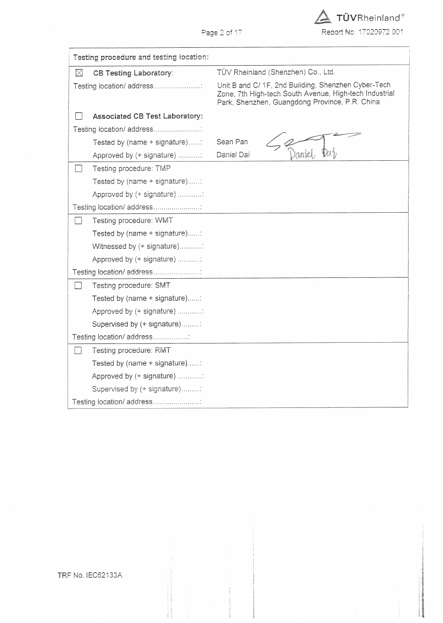$\Delta$  TÜVRheinland® Report No. 17020972 001

Page 2 of 17

|               | Testing procedure and testing location: |                                                                                                                                                                 |  |  |  |
|---------------|-----------------------------------------|-----------------------------------------------------------------------------------------------------------------------------------------------------------------|--|--|--|
| $\boxtimes$   | <b>CB Testing Laboratory:</b>           | TÜV Rheinland (Shenzhen) Co., Ltd.                                                                                                                              |  |  |  |
|               | Testing location/ address               | Unit B and C/ 1F, 2nd Building, Shenzhen Cyber-Tech<br>Zone, 7th High-tech South Avenue, High-tech Industrial<br>Park, Shenzhen, Guangdong Province, P.R. China |  |  |  |
|               | <b>Associated CB Test Laboratory:</b>   |                                                                                                                                                                 |  |  |  |
|               | Testing location/ address               |                                                                                                                                                                 |  |  |  |
|               | Tested by (name + signature):           | Sean Pan                                                                                                                                                        |  |  |  |
|               | Approved by (+ signature) :             | Daniel Dai                                                                                                                                                      |  |  |  |
|               | Testing procedure: TMP                  |                                                                                                                                                                 |  |  |  |
|               | Tested by (name + signature):           |                                                                                                                                                                 |  |  |  |
|               | Approved by (+ signature)               |                                                                                                                                                                 |  |  |  |
|               | Testing location/ address               |                                                                                                                                                                 |  |  |  |
|               | Testing procedure: WMT                  |                                                                                                                                                                 |  |  |  |
|               | Tested by (name + signature):           |                                                                                                                                                                 |  |  |  |
|               | Witnessed by (+ signature):             |                                                                                                                                                                 |  |  |  |
|               | Approved by (+ signature)               |                                                                                                                                                                 |  |  |  |
|               | Testing location/ address               |                                                                                                                                                                 |  |  |  |
| $\mathcal{L}$ | Testing procedure: SMT                  |                                                                                                                                                                 |  |  |  |
|               | Tested by (name + signature):           |                                                                                                                                                                 |  |  |  |
|               | Approved by (+ signature) :             |                                                                                                                                                                 |  |  |  |
|               | Supervised by (+ signature):            |                                                                                                                                                                 |  |  |  |
|               | Testing location/ address:              |                                                                                                                                                                 |  |  |  |
|               | Testing procedure: RMT                  |                                                                                                                                                                 |  |  |  |
|               | Tested by (name + signature):           |                                                                                                                                                                 |  |  |  |
|               | Approved by (+ signature)               |                                                                                                                                                                 |  |  |  |
|               | Supervised by (+ signature):            |                                                                                                                                                                 |  |  |  |
|               | Testing location/ address               |                                                                                                                                                                 |  |  |  |

TRF No. IEC62133A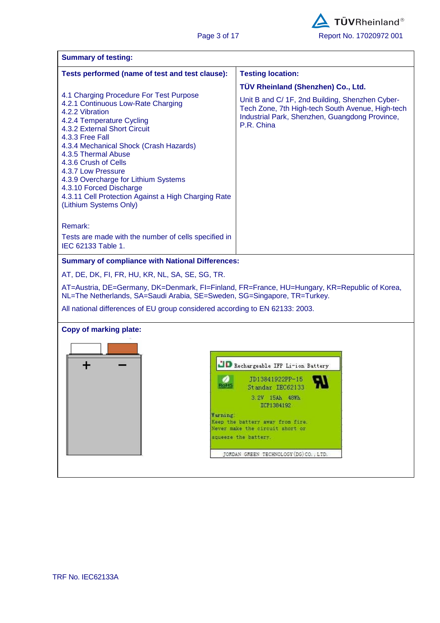| <b>Summary of testing:</b>                                                                                                                                               |                                                                                                                  |  |  |  |  |
|--------------------------------------------------------------------------------------------------------------------------------------------------------------------------|------------------------------------------------------------------------------------------------------------------|--|--|--|--|
| Tests performed (name of test and test clause):                                                                                                                          | <b>Testing location:</b>                                                                                         |  |  |  |  |
| 4.1 Charging Procedure For Test Purpose<br>4.2.1 Continuous Low-Rate Charging                                                                                            | TÜV Rheinland (Shenzhen) Co., Ltd.<br>Unit B and C/ 1F, 2nd Building, Shenzhen Cyber-                            |  |  |  |  |
| 4.2.2 Vibration<br>4.2.4 Temperature Cycling<br>4.3.2 External Short Circuit<br>4.3.3 Free Fall                                                                          | Tech Zone, 7th High-tech South Avenue, High-tech<br>Industrial Park, Shenzhen, Guangdong Province,<br>P.R. China |  |  |  |  |
| 4.3.4 Mechanical Shock (Crash Hazards)<br>4.3.5 Thermal Abuse<br>4.3.6 Crush of Cells<br>4.3.7 Low Pressure                                                              |                                                                                                                  |  |  |  |  |
| 4.3.9 Overcharge for Lithium Systems<br>4.3.10 Forced Discharge<br>4.3.11 Cell Protection Against a High Charging Rate<br>(Lithium Systems Only)                         |                                                                                                                  |  |  |  |  |
| Remark:                                                                                                                                                                  |                                                                                                                  |  |  |  |  |
| Tests are made with the number of cells specified in<br>IEC 62133 Table 1.                                                                                               |                                                                                                                  |  |  |  |  |
| <b>Summary of compliance with National Differences:</b>                                                                                                                  |                                                                                                                  |  |  |  |  |
| AT, DE, DK, FI, FR, HU, KR, NL, SA, SE, SG, TR.                                                                                                                          |                                                                                                                  |  |  |  |  |
| AT=Austria, DE=Germany, DK=Denmark, FI=Finland, FR=France, HU=Hungary, KR=Republic of Korea,<br>NL=The Netherlands, SA=Saudi Arabia, SE=Sweden, SG=Singapore, TR=Turkey. |                                                                                                                  |  |  |  |  |
| All national differences of EU group considered according to EN 62133: 2003.                                                                                             |                                                                                                                  |  |  |  |  |
| <b>Copy of marking plate:</b>                                                                                                                                            |                                                                                                                  |  |  |  |  |
|                                                                                                                                                                          |                                                                                                                  |  |  |  |  |
|                                                                                                                                                                          | B Rechargeable IFP Li-ion Battery                                                                                |  |  |  |  |
| <b>ANGELIA</b>                                                                                                                                                           | TD13841922PP-15<br>Standar IEC62133                                                                              |  |  |  |  |
|                                                                                                                                                                          | 3.2V 15Ah 48Wh<br>ICP1384192                                                                                     |  |  |  |  |
| Warning                                                                                                                                                                  |                                                                                                                  |  |  |  |  |
|                                                                                                                                                                          | Keep the battery away from fire.<br>Never make the circuit short or                                              |  |  |  |  |
|                                                                                                                                                                          | squeeze the battery.                                                                                             |  |  |  |  |
|                                                                                                                                                                          | JORDAN GREEN TECHNOLOGY (DG) CO., LTD.                                                                           |  |  |  |  |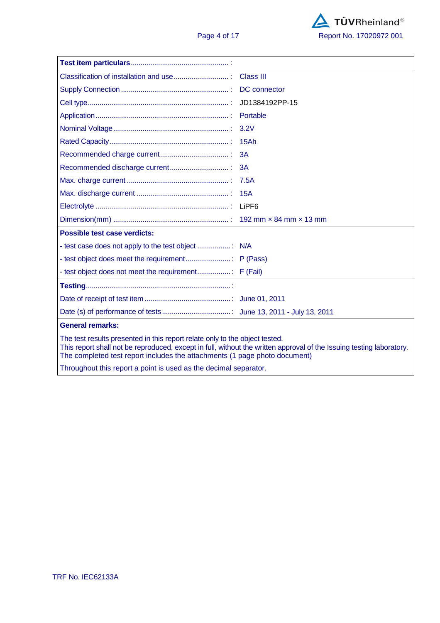

|                                                                                                                                                                                                                                                                                   | <b>Class III</b>    |  |  |  |
|-----------------------------------------------------------------------------------------------------------------------------------------------------------------------------------------------------------------------------------------------------------------------------------|---------------------|--|--|--|
|                                                                                                                                                                                                                                                                                   | <b>DC</b> connector |  |  |  |
|                                                                                                                                                                                                                                                                                   | JD1384192PP-15      |  |  |  |
|                                                                                                                                                                                                                                                                                   | Portable            |  |  |  |
|                                                                                                                                                                                                                                                                                   | 3.2V                |  |  |  |
|                                                                                                                                                                                                                                                                                   | 15Ah                |  |  |  |
|                                                                                                                                                                                                                                                                                   | 3A                  |  |  |  |
|                                                                                                                                                                                                                                                                                   | 3A                  |  |  |  |
|                                                                                                                                                                                                                                                                                   | 7.5A                |  |  |  |
|                                                                                                                                                                                                                                                                                   | 15A                 |  |  |  |
|                                                                                                                                                                                                                                                                                   |                     |  |  |  |
|                                                                                                                                                                                                                                                                                   |                     |  |  |  |
| Possible test case verdicts:                                                                                                                                                                                                                                                      |                     |  |  |  |
|                                                                                                                                                                                                                                                                                   |                     |  |  |  |
|                                                                                                                                                                                                                                                                                   |                     |  |  |  |
|                                                                                                                                                                                                                                                                                   |                     |  |  |  |
|                                                                                                                                                                                                                                                                                   |                     |  |  |  |
|                                                                                                                                                                                                                                                                                   |                     |  |  |  |
|                                                                                                                                                                                                                                                                                   |                     |  |  |  |
| <b>General remarks:</b>                                                                                                                                                                                                                                                           |                     |  |  |  |
| The test results presented in this report relate only to the object tested.<br>This report shall not be reproduced, except in full, without the written approval of the Issuing testing laboratory.<br>The completed test report includes the attachments (1 page photo document) |                     |  |  |  |
| Throughout this report a point is used as the decimal separator.                                                                                                                                                                                                                  |                     |  |  |  |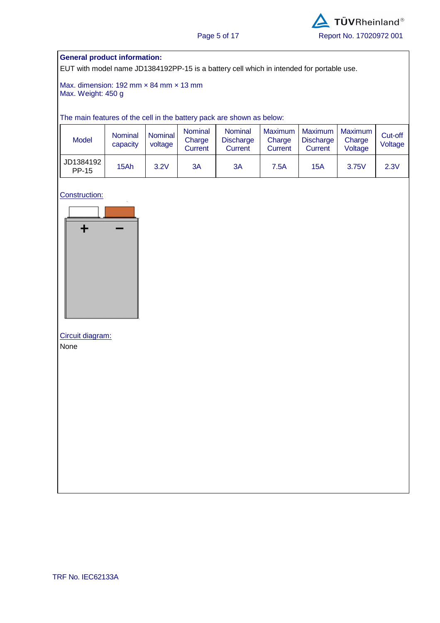#### **General product information:**

EUT with model name JD1384192PP-15 is a battery cell which in intended for portable use.

Max. dimension: 192 mm × 84 mm × 13 mm Max. Weight: 450 g

The main features of the cell in the battery pack are shown as below:

| <b>Model</b>       | <b>Nominal</b><br>capacity | Nominal<br>voltage | <b>Nominal</b><br>Charge<br>Current | <b>Nominal</b><br><b>Discharge</b><br>Current | Maximum<br>Charge<br><b>Current</b> | Maximum<br><b>Discharge</b><br>Current | l Maximum<br>Charge<br>Voltage | Cut-off<br>Voltage |
|--------------------|----------------------------|--------------------|-------------------------------------|-----------------------------------------------|-------------------------------------|----------------------------------------|--------------------------------|--------------------|
| JD1384192<br>PP-15 | 15Ah                       | 3.2V               | ЗA                                  | 3A                                            | 7.5A                                | 15A                                    | 3.75V                          | 2.3V               |

Construction:



# Circuit diagram:

None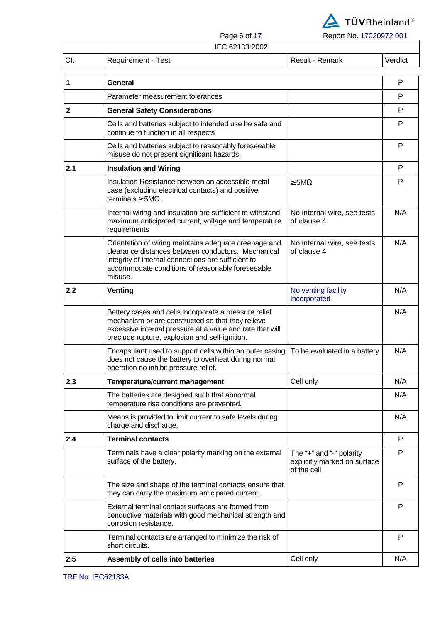

Page 6 of 17 Report No. 17020972 001

|     |                    | IEC 62133:2002 |                 |         |
|-----|--------------------|----------------|-----------------|---------|
| CI. | Requirement - Test |                | Result - Remark | Verdict |

| P<br>Parameter measurement tolerances<br><b>General Safety Considerations</b><br>P<br>Cells and batteries subject to intended use be safe and<br>P<br>continue to function in all respects<br>Cells and batteries subject to reasonably foreseeable<br>P<br>misuse do not present significant hazards.<br>P<br><b>Insulation and Wiring</b><br>Insulation Resistance between an accessible metal<br>P<br>$\geq$ 5M $\Omega$<br>case (excluding electrical contacts) and positive<br>terminals $\geq$ 5M $\Omega$ .<br>N/A<br>Internal wiring and insulation are sufficient to withstand<br>No internal wire, see tests<br>maximum anticipated current, voltage and temperature<br>of clause 4<br>requirements<br>N/A<br>Orientation of wiring maintains adequate creepage and<br>No internal wire, see tests<br>clearance distances between conductors. Mechanical<br>of clause 4<br>integrity of internal connections are sufficient to<br>accommodate conditions of reasonably foreseeable<br>misuse.<br>N/A<br>No venting facility<br>Venting<br>incorporated<br>N/A<br>Battery cases and cells incorporate a pressure relief<br>mechanism or are constructed so that they relieve<br>excessive internal pressure at a value and rate that will<br>preclude rupture, explosion and self-ignition.<br>N/A<br>Encapsulant used to support cells within an outer casing<br>To be evaluated in a battery<br>does not cause the battery to overheat during normal<br>operation no inhibit pressure relief.<br>N/A<br>Cell only<br><b>Temperature/current management</b><br>The batteries are designed such that abnormal<br>N/A<br>temperature rise conditions are prevented.<br>N/A<br>Means is provided to limit current to safe levels during<br>charge and discharge.<br><b>Terminal contacts</b><br>P<br>P<br>Terminals have a clear polarity marking on the external<br>The "+" and "-" polarity<br>surface of the battery.<br>explicitly marked on surface<br>of the cell<br>P<br>The size and shape of the terminal contacts ensure that<br>they can carry the maximum anticipated current.<br>External terminal contact surfaces are formed from<br>P<br>conductive materials with good mechanical strength and | 1           | General               |  |  |  |  |
|------------------------------------------------------------------------------------------------------------------------------------------------------------------------------------------------------------------------------------------------------------------------------------------------------------------------------------------------------------------------------------------------------------------------------------------------------------------------------------------------------------------------------------------------------------------------------------------------------------------------------------------------------------------------------------------------------------------------------------------------------------------------------------------------------------------------------------------------------------------------------------------------------------------------------------------------------------------------------------------------------------------------------------------------------------------------------------------------------------------------------------------------------------------------------------------------------------------------------------------------------------------------------------------------------------------------------------------------------------------------------------------------------------------------------------------------------------------------------------------------------------------------------------------------------------------------------------------------------------------------------------------------------------------------------------------------------------------------------------------------------------------------------------------------------------------------------------------------------------------------------------------------------------------------------------------------------------------------------------------------------------------------------------------------------------------------------------------------------------------------------------------------------------------------------------------------------------------------|-------------|-----------------------|--|--|--|--|
|                                                                                                                                                                                                                                                                                                                                                                                                                                                                                                                                                                                                                                                                                                                                                                                                                                                                                                                                                                                                                                                                                                                                                                                                                                                                                                                                                                                                                                                                                                                                                                                                                                                                                                                                                                                                                                                                                                                                                                                                                                                                                                                                                                                                                        |             |                       |  |  |  |  |
|                                                                                                                                                                                                                                                                                                                                                                                                                                                                                                                                                                                                                                                                                                                                                                                                                                                                                                                                                                                                                                                                                                                                                                                                                                                                                                                                                                                                                                                                                                                                                                                                                                                                                                                                                                                                                                                                                                                                                                                                                                                                                                                                                                                                                        | $\mathbf 2$ |                       |  |  |  |  |
|                                                                                                                                                                                                                                                                                                                                                                                                                                                                                                                                                                                                                                                                                                                                                                                                                                                                                                                                                                                                                                                                                                                                                                                                                                                                                                                                                                                                                                                                                                                                                                                                                                                                                                                                                                                                                                                                                                                                                                                                                                                                                                                                                                                                                        |             |                       |  |  |  |  |
|                                                                                                                                                                                                                                                                                                                                                                                                                                                                                                                                                                                                                                                                                                                                                                                                                                                                                                                                                                                                                                                                                                                                                                                                                                                                                                                                                                                                                                                                                                                                                                                                                                                                                                                                                                                                                                                                                                                                                                                                                                                                                                                                                                                                                        |             |                       |  |  |  |  |
|                                                                                                                                                                                                                                                                                                                                                                                                                                                                                                                                                                                                                                                                                                                                                                                                                                                                                                                                                                                                                                                                                                                                                                                                                                                                                                                                                                                                                                                                                                                                                                                                                                                                                                                                                                                                                                                                                                                                                                                                                                                                                                                                                                                                                        | 2.1         |                       |  |  |  |  |
|                                                                                                                                                                                                                                                                                                                                                                                                                                                                                                                                                                                                                                                                                                                                                                                                                                                                                                                                                                                                                                                                                                                                                                                                                                                                                                                                                                                                                                                                                                                                                                                                                                                                                                                                                                                                                                                                                                                                                                                                                                                                                                                                                                                                                        |             |                       |  |  |  |  |
|                                                                                                                                                                                                                                                                                                                                                                                                                                                                                                                                                                                                                                                                                                                                                                                                                                                                                                                                                                                                                                                                                                                                                                                                                                                                                                                                                                                                                                                                                                                                                                                                                                                                                                                                                                                                                                                                                                                                                                                                                                                                                                                                                                                                                        |             |                       |  |  |  |  |
|                                                                                                                                                                                                                                                                                                                                                                                                                                                                                                                                                                                                                                                                                                                                                                                                                                                                                                                                                                                                                                                                                                                                                                                                                                                                                                                                                                                                                                                                                                                                                                                                                                                                                                                                                                                                                                                                                                                                                                                                                                                                                                                                                                                                                        |             |                       |  |  |  |  |
|                                                                                                                                                                                                                                                                                                                                                                                                                                                                                                                                                                                                                                                                                                                                                                                                                                                                                                                                                                                                                                                                                                                                                                                                                                                                                                                                                                                                                                                                                                                                                                                                                                                                                                                                                                                                                                                                                                                                                                                                                                                                                                                                                                                                                        | 2.2         |                       |  |  |  |  |
|                                                                                                                                                                                                                                                                                                                                                                                                                                                                                                                                                                                                                                                                                                                                                                                                                                                                                                                                                                                                                                                                                                                                                                                                                                                                                                                                                                                                                                                                                                                                                                                                                                                                                                                                                                                                                                                                                                                                                                                                                                                                                                                                                                                                                        |             |                       |  |  |  |  |
|                                                                                                                                                                                                                                                                                                                                                                                                                                                                                                                                                                                                                                                                                                                                                                                                                                                                                                                                                                                                                                                                                                                                                                                                                                                                                                                                                                                                                                                                                                                                                                                                                                                                                                                                                                                                                                                                                                                                                                                                                                                                                                                                                                                                                        |             |                       |  |  |  |  |
|                                                                                                                                                                                                                                                                                                                                                                                                                                                                                                                                                                                                                                                                                                                                                                                                                                                                                                                                                                                                                                                                                                                                                                                                                                                                                                                                                                                                                                                                                                                                                                                                                                                                                                                                                                                                                                                                                                                                                                                                                                                                                                                                                                                                                        | 2.3         |                       |  |  |  |  |
|                                                                                                                                                                                                                                                                                                                                                                                                                                                                                                                                                                                                                                                                                                                                                                                                                                                                                                                                                                                                                                                                                                                                                                                                                                                                                                                                                                                                                                                                                                                                                                                                                                                                                                                                                                                                                                                                                                                                                                                                                                                                                                                                                                                                                        |             |                       |  |  |  |  |
|                                                                                                                                                                                                                                                                                                                                                                                                                                                                                                                                                                                                                                                                                                                                                                                                                                                                                                                                                                                                                                                                                                                                                                                                                                                                                                                                                                                                                                                                                                                                                                                                                                                                                                                                                                                                                                                                                                                                                                                                                                                                                                                                                                                                                        |             |                       |  |  |  |  |
|                                                                                                                                                                                                                                                                                                                                                                                                                                                                                                                                                                                                                                                                                                                                                                                                                                                                                                                                                                                                                                                                                                                                                                                                                                                                                                                                                                                                                                                                                                                                                                                                                                                                                                                                                                                                                                                                                                                                                                                                                                                                                                                                                                                                                        | 2.4         |                       |  |  |  |  |
|                                                                                                                                                                                                                                                                                                                                                                                                                                                                                                                                                                                                                                                                                                                                                                                                                                                                                                                                                                                                                                                                                                                                                                                                                                                                                                                                                                                                                                                                                                                                                                                                                                                                                                                                                                                                                                                                                                                                                                                                                                                                                                                                                                                                                        |             |                       |  |  |  |  |
|                                                                                                                                                                                                                                                                                                                                                                                                                                                                                                                                                                                                                                                                                                                                                                                                                                                                                                                                                                                                                                                                                                                                                                                                                                                                                                                                                                                                                                                                                                                                                                                                                                                                                                                                                                                                                                                                                                                                                                                                                                                                                                                                                                                                                        |             |                       |  |  |  |  |
|                                                                                                                                                                                                                                                                                                                                                                                                                                                                                                                                                                                                                                                                                                                                                                                                                                                                                                                                                                                                                                                                                                                                                                                                                                                                                                                                                                                                                                                                                                                                                                                                                                                                                                                                                                                                                                                                                                                                                                                                                                                                                                                                                                                                                        |             | corrosion resistance. |  |  |  |  |
| P<br>Terminal contacts are arranged to minimize the risk of<br>short circuits.                                                                                                                                                                                                                                                                                                                                                                                                                                                                                                                                                                                                                                                                                                                                                                                                                                                                                                                                                                                                                                                                                                                                                                                                                                                                                                                                                                                                                                                                                                                                                                                                                                                                                                                                                                                                                                                                                                                                                                                                                                                                                                                                         |             |                       |  |  |  |  |
| Cell only<br>N/A<br>Assembly of cells into batteries                                                                                                                                                                                                                                                                                                                                                                                                                                                                                                                                                                                                                                                                                                                                                                                                                                                                                                                                                                                                                                                                                                                                                                                                                                                                                                                                                                                                                                                                                                                                                                                                                                                                                                                                                                                                                                                                                                                                                                                                                                                                                                                                                                   | 2.5         |                       |  |  |  |  |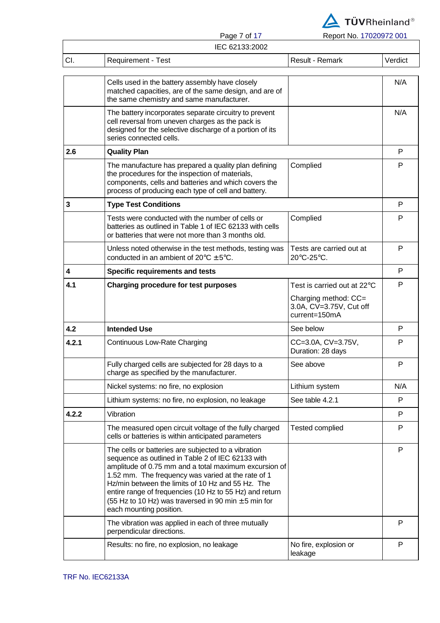

|                                                                                                                                                                                                                                                                                                                                                                                                                                                                                                                                                                                                                                                                                                                                                                                                                                                                                                                                                                                                                                                                                                                                                                                                                                                                                                                                                                                                                                                                                        |                                                                                                                                                                                                                                                                                                                                                                                                                                | Report No. 17020972 001                                          |     |
|----------------------------------------------------------------------------------------------------------------------------------------------------------------------------------------------------------------------------------------------------------------------------------------------------------------------------------------------------------------------------------------------------------------------------------------------------------------------------------------------------------------------------------------------------------------------------------------------------------------------------------------------------------------------------------------------------------------------------------------------------------------------------------------------------------------------------------------------------------------------------------------------------------------------------------------------------------------------------------------------------------------------------------------------------------------------------------------------------------------------------------------------------------------------------------------------------------------------------------------------------------------------------------------------------------------------------------------------------------------------------------------------------------------------------------------------------------------------------------------|--------------------------------------------------------------------------------------------------------------------------------------------------------------------------------------------------------------------------------------------------------------------------------------------------------------------------------------------------------------------------------------------------------------------------------|------------------------------------------------------------------|-----|
|                                                                                                                                                                                                                                                                                                                                                                                                                                                                                                                                                                                                                                                                                                                                                                                                                                                                                                                                                                                                                                                                                                                                                                                                                                                                                                                                                                                                                                                                                        | IEC 62133:2002                                                                                                                                                                                                                                                                                                                                                                                                                 |                                                                  |     |
| Page 7 of 17<br>CI.<br><b>Requirement - Test</b><br>Cells used in the battery assembly have closely<br>matched capacities, are of the same design, and are of<br>the same chemistry and same manufacturer.<br>The battery incorporates separate circuitry to prevent<br>cell reversal from uneven charges as the pack is<br>designed for the selective discharge of a portion of its<br>series connected cells.<br>2.6<br><b>Quality Plan</b><br>The manufacture has prepared a quality plan defining<br>Complied<br>the procedures for the inspection of materials,<br>components, cells and batteries and which covers the<br>process of producing each type of cell and battery.<br>3<br><b>Type Test Conditions</b><br>Tests were conducted with the number of cells or<br>Complied<br>batteries as outlined in Table 1 of IEC 62133 with cells<br>or batteries that were not more than 3 months old.<br>Unless noted otherwise in the test methods, testing was<br>conducted in an ambient of $20^{\circ}$ C $\pm$ 5°C.<br>20°C-25°C.<br>4<br><b>Specific requirements and tests</b><br>4.1<br><b>Charging procedure for test purposes</b><br>4.2<br><b>Intended Use</b><br>See below<br>4.2.1<br>Continuous Low-Rate Charging<br>See above<br>Fully charged cells are subjected for 28 days to a<br>charge as specified by the manufacturer.<br>Nickel systems: no fire, no explosion<br>Lithium system<br>See table 4.2.1<br>Lithium systems: no fire, no explosion, no leakage | <b>Result - Remark</b>                                                                                                                                                                                                                                                                                                                                                                                                         | Verdict                                                          |     |
|                                                                                                                                                                                                                                                                                                                                                                                                                                                                                                                                                                                                                                                                                                                                                                                                                                                                                                                                                                                                                                                                                                                                                                                                                                                                                                                                                                                                                                                                                        |                                                                                                                                                                                                                                                                                                                                                                                                                                |                                                                  | N/A |
|                                                                                                                                                                                                                                                                                                                                                                                                                                                                                                                                                                                                                                                                                                                                                                                                                                                                                                                                                                                                                                                                                                                                                                                                                                                                                                                                                                                                                                                                                        |                                                                                                                                                                                                                                                                                                                                                                                                                                |                                                                  | N/A |
|                                                                                                                                                                                                                                                                                                                                                                                                                                                                                                                                                                                                                                                                                                                                                                                                                                                                                                                                                                                                                                                                                                                                                                                                                                                                                                                                                                                                                                                                                        |                                                                                                                                                                                                                                                                                                                                                                                                                                |                                                                  | P   |
|                                                                                                                                                                                                                                                                                                                                                                                                                                                                                                                                                                                                                                                                                                                                                                                                                                                                                                                                                                                                                                                                                                                                                                                                                                                                                                                                                                                                                                                                                        |                                                                                                                                                                                                                                                                                                                                                                                                                                |                                                                  | P   |
|                                                                                                                                                                                                                                                                                                                                                                                                                                                                                                                                                                                                                                                                                                                                                                                                                                                                                                                                                                                                                                                                                                                                                                                                                                                                                                                                                                                                                                                                                        |                                                                                                                                                                                                                                                                                                                                                                                                                                |                                                                  | P   |
|                                                                                                                                                                                                                                                                                                                                                                                                                                                                                                                                                                                                                                                                                                                                                                                                                                                                                                                                                                                                                                                                                                                                                                                                                                                                                                                                                                                                                                                                                        |                                                                                                                                                                                                                                                                                                                                                                                                                                |                                                                  | P   |
|                                                                                                                                                                                                                                                                                                                                                                                                                                                                                                                                                                                                                                                                                                                                                                                                                                                                                                                                                                                                                                                                                                                                                                                                                                                                                                                                                                                                                                                                                        |                                                                                                                                                                                                                                                                                                                                                                                                                                | Tests are carried out at                                         | P   |
|                                                                                                                                                                                                                                                                                                                                                                                                                                                                                                                                                                                                                                                                                                                                                                                                                                                                                                                                                                                                                                                                                                                                                                                                                                                                                                                                                                                                                                                                                        |                                                                                                                                                                                                                                                                                                                                                                                                                                |                                                                  | P   |
|                                                                                                                                                                                                                                                                                                                                                                                                                                                                                                                                                                                                                                                                                                                                                                                                                                                                                                                                                                                                                                                                                                                                                                                                                                                                                                                                                                                                                                                                                        |                                                                                                                                                                                                                                                                                                                                                                                                                                | Test is carried out at 22 $\rm ^{\circ}$ C                       | P   |
|                                                                                                                                                                                                                                                                                                                                                                                                                                                                                                                                                                                                                                                                                                                                                                                                                                                                                                                                                                                                                                                                                                                                                                                                                                                                                                                                                                                                                                                                                        |                                                                                                                                                                                                                                                                                                                                                                                                                                | Charging method: CC=<br>3.0A, CV=3.75V, Cut off<br>current=150mA |     |
|                                                                                                                                                                                                                                                                                                                                                                                                                                                                                                                                                                                                                                                                                                                                                                                                                                                                                                                                                                                                                                                                                                                                                                                                                                                                                                                                                                                                                                                                                        |                                                                                                                                                                                                                                                                                                                                                                                                                                |                                                                  | P   |
|                                                                                                                                                                                                                                                                                                                                                                                                                                                                                                                                                                                                                                                                                                                                                                                                                                                                                                                                                                                                                                                                                                                                                                                                                                                                                                                                                                                                                                                                                        |                                                                                                                                                                                                                                                                                                                                                                                                                                | CC=3.0A, CV=3.75V,<br>Duration: 28 days                          | P   |
|                                                                                                                                                                                                                                                                                                                                                                                                                                                                                                                                                                                                                                                                                                                                                                                                                                                                                                                                                                                                                                                                                                                                                                                                                                                                                                                                                                                                                                                                                        |                                                                                                                                                                                                                                                                                                                                                                                                                                |                                                                  | P   |
|                                                                                                                                                                                                                                                                                                                                                                                                                                                                                                                                                                                                                                                                                                                                                                                                                                                                                                                                                                                                                                                                                                                                                                                                                                                                                                                                                                                                                                                                                        |                                                                                                                                                                                                                                                                                                                                                                                                                                |                                                                  | N/A |
|                                                                                                                                                                                                                                                                                                                                                                                                                                                                                                                                                                                                                                                                                                                                                                                                                                                                                                                                                                                                                                                                                                                                                                                                                                                                                                                                                                                                                                                                                        |                                                                                                                                                                                                                                                                                                                                                                                                                                |                                                                  | P   |
| 4.2.2                                                                                                                                                                                                                                                                                                                                                                                                                                                                                                                                                                                                                                                                                                                                                                                                                                                                                                                                                                                                                                                                                                                                                                                                                                                                                                                                                                                                                                                                                  | Vibration                                                                                                                                                                                                                                                                                                                                                                                                                      |                                                                  | P   |
|                                                                                                                                                                                                                                                                                                                                                                                                                                                                                                                                                                                                                                                                                                                                                                                                                                                                                                                                                                                                                                                                                                                                                                                                                                                                                                                                                                                                                                                                                        | The measured open circuit voltage of the fully charged<br>cells or batteries is within anticipated parameters                                                                                                                                                                                                                                                                                                                  | <b>Tested complied</b>                                           | P   |
|                                                                                                                                                                                                                                                                                                                                                                                                                                                                                                                                                                                                                                                                                                                                                                                                                                                                                                                                                                                                                                                                                                                                                                                                                                                                                                                                                                                                                                                                                        | The cells or batteries are subjected to a vibration<br>sequence as outlined in Table 2 of IEC 62133 with<br>amplitude of 0.75 mm and a total maximum excursion of<br>1.52 mm. The frequency was varied at the rate of 1<br>Hz/min between the limits of 10 Hz and 55 Hz. The<br>entire range of frequencies (10 Hz to 55 Hz) and return<br>(55 Hz to 10 Hz) was traversed in 90 min $\pm$ 5 min for<br>each mounting position. |                                                                  | P   |
|                                                                                                                                                                                                                                                                                                                                                                                                                                                                                                                                                                                                                                                                                                                                                                                                                                                                                                                                                                                                                                                                                                                                                                                                                                                                                                                                                                                                                                                                                        | The vibration was applied in each of three mutually<br>perpendicular directions.                                                                                                                                                                                                                                                                                                                                               |                                                                  | P   |

No fire, explosion or<br>leakage

P

Results: no fire, no explosion, no leakage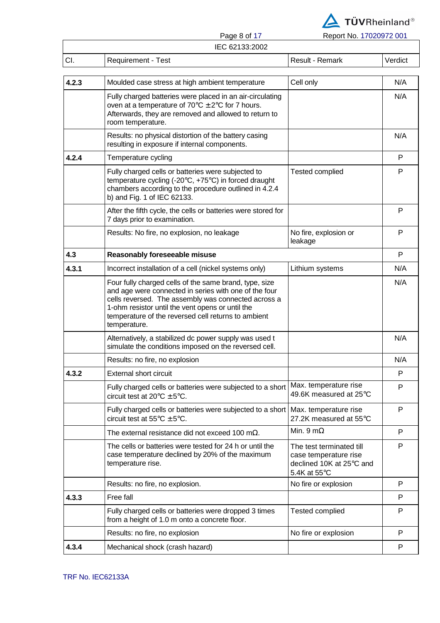

|       | Page 8 of 17                                                                                                                | Report No. 17020972 001 |         |
|-------|-----------------------------------------------------------------------------------------------------------------------------|-------------------------|---------|
|       | IEC 62133:2002                                                                                                              |                         |         |
| CI.   | <b>Requirement - Test</b>                                                                                                   | Result - Remark         | Verdict |
|       |                                                                                                                             |                         |         |
| 4.2.3 | Moulded case stress at high ambient temperature                                                                             | Cell only               | N/A     |
|       | Fully charged batteries were placed in an air-circulating<br>oven at a temperature of $70^{\circ}$ C $\pm$ 2°C for 7 hours. |                         | N/A     |

|       | oven at a temperature of $70^{\circ}$ C $\pm$ 2°C for 7 hours.<br>Afterwards, they are removed and allowed to return to<br>room temperature.                                                                                                                                                      |                                                                                               |     |
|-------|---------------------------------------------------------------------------------------------------------------------------------------------------------------------------------------------------------------------------------------------------------------------------------------------------|-----------------------------------------------------------------------------------------------|-----|
|       | Results: no physical distortion of the battery casing<br>resulting in exposure if internal components.                                                                                                                                                                                            |                                                                                               | N/A |
| 4.2.4 | Temperature cycling                                                                                                                                                                                                                                                                               |                                                                                               | P   |
|       | Fully charged cells or batteries were subjected to<br>temperature cycling (-20°C, +75°C) in forced draught<br>chambers according to the procedure outlined in 4.2.4<br>b) and Fig. 1 of IEC 62133.                                                                                                | <b>Tested complied</b>                                                                        | P   |
|       | After the fifth cycle, the cells or batteries were stored for<br>7 days prior to examination.                                                                                                                                                                                                     |                                                                                               | P   |
|       | Results: No fire, no explosion, no leakage                                                                                                                                                                                                                                                        | No fire, explosion or<br>leakage                                                              | P   |
| 4.3   | Reasonably foreseeable misuse                                                                                                                                                                                                                                                                     |                                                                                               | P   |
| 4.3.1 | Incorrect installation of a cell (nickel systems only)                                                                                                                                                                                                                                            | Lithium systems                                                                               | N/A |
|       | Four fully charged cells of the same brand, type, size<br>and age were connected in series with one of the four<br>cells reversed. The assembly was connected across a<br>1-ohm resistor until the vent opens or until the<br>temperature of the reversed cell returns to ambient<br>temperature. |                                                                                               | N/A |
|       | Alternatively, a stabilized dc power supply was used t<br>simulate the conditions imposed on the reversed cell.                                                                                                                                                                                   |                                                                                               | N/A |
|       | Results: no fire, no explosion                                                                                                                                                                                                                                                                    |                                                                                               | N/A |
| 4.3.2 | <b>External short circuit</b>                                                                                                                                                                                                                                                                     |                                                                                               | P   |
|       | Fully charged cells or batteries were subjected to a short<br>circuit test at $20^{\circ}$ C $\pm$ 5°C.                                                                                                                                                                                           | Max. temperature rise<br>49.6K measured at 25°C                                               | P   |
|       | Fully charged cells or batteries were subjected to a short   Max. temperature rise<br>circuit test at $55^{\circ}$ C $\pm$ 5°C.                                                                                                                                                                   | 27.2K measured at 55°C                                                                        | P   |
|       | The external resistance did not exceed 100 m $\Omega$ .                                                                                                                                                                                                                                           | Min. 9 m $\Omega$                                                                             | P   |
|       | The cells or batteries were tested for 24 h or until the<br>case temperature declined by 20% of the maximum<br>temperature rise.                                                                                                                                                                  | The test terminated till<br>case temperature rise<br>declined 10K at 25°C and<br>5.4K at 55°C | P   |
|       | Results: no fire, no explosion.                                                                                                                                                                                                                                                                   | No fire or explosion                                                                          | P   |
| 4.3.3 | Free fall                                                                                                                                                                                                                                                                                         |                                                                                               | P   |
|       | Fully charged cells or batteries were dropped 3 times<br>from a height of 1.0 m onto a concrete floor.                                                                                                                                                                                            | <b>Tested complied</b>                                                                        | P   |
|       | Results: no fire, no explosion                                                                                                                                                                                                                                                                    | No fire or explosion                                                                          | P   |
| 4.3.4 | Mechanical shock (crash hazard)                                                                                                                                                                                                                                                                   |                                                                                               | P   |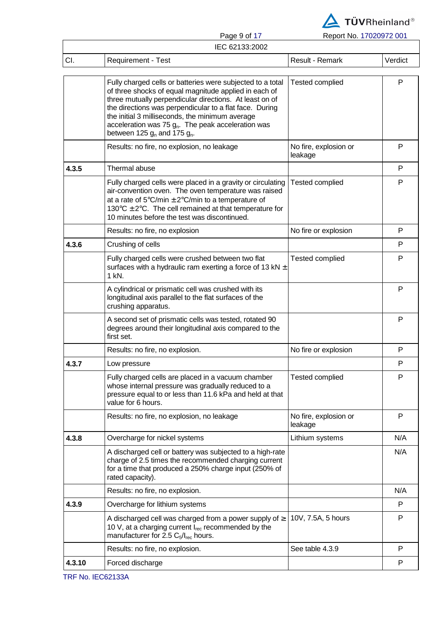

Page 9 of 17 Report No. 17020972 001

| IEC 62133:2002 |                                                                                                                                                                                                                                                                                                                                                                                            |                                  |         |  |
|----------------|--------------------------------------------------------------------------------------------------------------------------------------------------------------------------------------------------------------------------------------------------------------------------------------------------------------------------------------------------------------------------------------------|----------------------------------|---------|--|
| CI.            | <b>Requirement - Test</b>                                                                                                                                                                                                                                                                                                                                                                  | Result - Remark                  | Verdict |  |
|                | Fully charged cells or batteries were subjected to a total<br>of three shocks of equal magnitude applied in each of<br>three mutually perpendicular directions. At least on of<br>the directions was perpendicular to a flat face. During<br>the initial 3 milliseconds, the minimum average<br>acceleration was 75 $g_n$ . The peak acceleration was<br>between 125 $g_n$ and 175 $g_n$ . | <b>Tested complied</b>           | P       |  |
|                | Results: no fire, no explosion, no leakage                                                                                                                                                                                                                                                                                                                                                 | No fire, explosion or<br>leakage | P       |  |
| 4.3.5          | Thermal abuse                                                                                                                                                                                                                                                                                                                                                                              |                                  | P       |  |
|                | Fully charged cells were placed in a gravity or circulating<br>air-convention oven. The oven temperature was raised<br>at a rate of $5^{\circ}$ C/min $\pm$ 2 $^{\circ}$ C/min to a temperature of<br>130 $\degree$ C $\pm$ 2 $\degree$ C. The cell remained at that temperature for<br>10 minutes before the test was discontinued.                                                       | <b>Tested complied</b>           | P       |  |
|                | Results: no fire, no explosion                                                                                                                                                                                                                                                                                                                                                             | No fire or explosion             | P       |  |
| 4.3.6          | Crushing of cells                                                                                                                                                                                                                                                                                                                                                                          |                                  | P       |  |
|                | Fully charged cells were crushed between two flat<br>surfaces with a hydraulic ram exerting a force of 13 kN $\pm$<br>1 kN.                                                                                                                                                                                                                                                                | <b>Tested complied</b>           | P       |  |
|                | A cylindrical or prismatic cell was crushed with its<br>longitudinal axis parallel to the flat surfaces of the<br>crushing apparatus.                                                                                                                                                                                                                                                      |                                  | P       |  |
|                | A second set of prismatic cells was tested, rotated 90<br>degrees around their longitudinal axis compared to the<br>first set.                                                                                                                                                                                                                                                             |                                  | P       |  |
|                | Results: no fire, no explosion.                                                                                                                                                                                                                                                                                                                                                            | No fire or explosion             | P       |  |
| 4.3.7          | Low pressure                                                                                                                                                                                                                                                                                                                                                                               |                                  | P       |  |
|                | Fully charged cells are placed in a vacuum chamber<br>whose internal pressure was gradually reduced to a<br>pressure equal to or less than 11.6 kPa and held at that<br>value for 6 hours.                                                                                                                                                                                                 | <b>Tested complied</b>           |         |  |
|                | Results: no fire, no explosion, no leakage                                                                                                                                                                                                                                                                                                                                                 | No fire, explosion or<br>leakage | P       |  |
| 4.3.8          | Overcharge for nickel systems                                                                                                                                                                                                                                                                                                                                                              | Lithium systems                  | N/A     |  |
|                | A discharged cell or battery was subjected to a high-rate<br>charge of 2.5 times the recommended charging current<br>for a time that produced a 250% charge input (250% of<br>rated capacity).                                                                                                                                                                                             |                                  | N/A     |  |
|                | Results: no fire, no explosion.                                                                                                                                                                                                                                                                                                                                                            |                                  | N/A     |  |
| 4.3.9          | Overcharge for lithium systems                                                                                                                                                                                                                                                                                                                                                             |                                  | P       |  |
|                | A discharged cell was charged from a power supply of $\geq$<br>10 V, at a charging current $I_{rec}$ recommended by the<br>manufacturer for 2.5 $C_5/I_{rec}$ hours.                                                                                                                                                                                                                       | 10V, 7.5A, 5 hours               | P       |  |
|                | Results: no fire, no explosion.                                                                                                                                                                                                                                                                                                                                                            | See table 4.3.9                  | P       |  |
| 4.3.10         | Forced discharge                                                                                                                                                                                                                                                                                                                                                                           |                                  | P       |  |
|                |                                                                                                                                                                                                                                                                                                                                                                                            |                                  |         |  |

TRF No. IEC62133A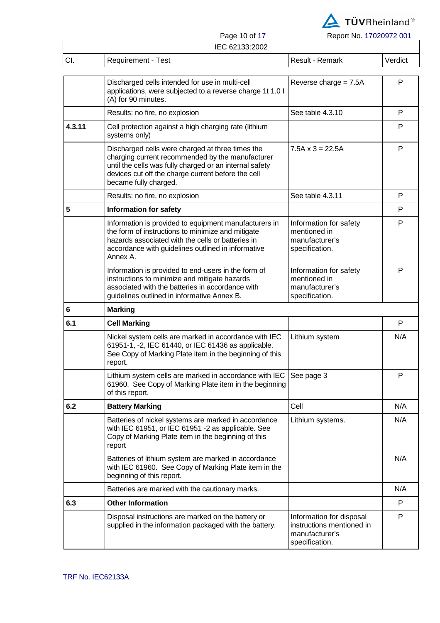

Page 10 of 17 Report No. 17020972 001

|     |                    | 1 ayo 10 01 17 | $1$ $\sqrt{2}$ $\sqrt{2}$ $\sqrt{2}$ $\sqrt{2}$ $\sqrt{2}$ $\sqrt{2}$ $\sqrt{2}$ $\sqrt{2}$ $\sqrt{2}$ $\sqrt{2}$ $\sqrt{2}$ $\sqrt{2}$ $\sqrt{2}$ $\sqrt{2}$ $\sqrt{2}$ $\sqrt{2}$ $\sqrt{2}$ $\sqrt{2}$ $\sqrt{2}$ $\sqrt{2}$ $\sqrt{2}$ $\sqrt{2}$ $\sqrt{2}$ $\sqrt{2}$ $\sqrt{2}$ $\sqrt{2}$ $\sqrt{2}$ |         |
|-----|--------------------|----------------|--------------------------------------------------------------------------------------------------------------------------------------------------------------------------------------------------------------------------------------------------------------------------------------------------------------|---------|
|     |                    | IEC 62133:2002 |                                                                                                                                                                                                                                                                                                              |         |
| CI. | Requirement - Test |                | Result - Remark                                                                                                                                                                                                                                                                                              | Verdict |

|        | Discharged cells intended for use in multi-cell<br>applications, were subjected to a reverse charge 1t 1.0 lt<br>(A) for 90 minutes.                                                                                                           | Reverse charge $= 7.5A$                                                                   | P   |
|--------|------------------------------------------------------------------------------------------------------------------------------------------------------------------------------------------------------------------------------------------------|-------------------------------------------------------------------------------------------|-----|
|        | Results: no fire, no explosion                                                                                                                                                                                                                 | See table 4.3.10                                                                          | P   |
| 4.3.11 | Cell protection against a high charging rate (lithium<br>systems only)                                                                                                                                                                         |                                                                                           | P   |
|        | Discharged cells were charged at three times the<br>charging current recommended by the manufacturer<br>until the cells was fully charged or an internal safety<br>devices cut off the charge current before the cell<br>became fully charged. | $7.5A \times 3 = 22.5A$                                                                   | P   |
|        | Results: no fire, no explosion                                                                                                                                                                                                                 | See table 4.3.11                                                                          | P   |
| 5      | <b>Information for safety</b>                                                                                                                                                                                                                  |                                                                                           | P   |
|        | Information is provided to equipment manufacturers in<br>the form of instructions to minimize and mitigate<br>hazards associated with the cells or batteries in<br>accordance with guidelines outlined in informative<br>Annex A.              | Information for safety<br>mentioned in<br>manufacturer's<br>specification.                | P   |
|        | Information is provided to end-users in the form of<br>instructions to minimize and mitigate hazards<br>associated with the batteries in accordance with<br>guidelines outlined in informative Annex B.                                        | Information for safety<br>mentioned in<br>manufacturer's<br>specification.                | P   |
| 6      | <b>Marking</b>                                                                                                                                                                                                                                 |                                                                                           |     |
| 6.1    | <b>Cell Marking</b>                                                                                                                                                                                                                            |                                                                                           | P   |
|        | Nickel system cells are marked in accordance with IEC<br>61951-1, -2, IEC 61440, or IEC 61436 as applicable.<br>See Copy of Marking Plate item in the beginning of this<br>report.                                                             | Lithium system                                                                            | N/A |
|        | Lithium system cells are marked in accordance with IEC<br>61960. See Copy of Marking Plate item in the beginning<br>of this report.                                                                                                            | See page 3                                                                                | P   |
| 6.2    | <b>Battery Marking</b>                                                                                                                                                                                                                         | Cell                                                                                      | N/A |
|        | Batteries of nickel systems are marked in accordance<br>with IEC 61951, or IEC 61951 -2 as applicable. See<br>Copy of Marking Plate item in the beginning of this<br>report                                                                    | Lithium systems.                                                                          | N/A |
|        | Batteries of lithium system are marked in accordance<br>with IEC 61960. See Copy of Marking Plate item in the<br>beginning of this report.                                                                                                     |                                                                                           | N/A |
|        | Batteries are marked with the cautionary marks.                                                                                                                                                                                                |                                                                                           | N/A |
| 6.3    | <b>Other Information</b>                                                                                                                                                                                                                       |                                                                                           | P   |
|        | Disposal instructions are marked on the battery or<br>supplied in the information packaged with the battery.                                                                                                                                   | Information for disposal<br>instructions mentioned in<br>manufacturer's<br>specification. | P   |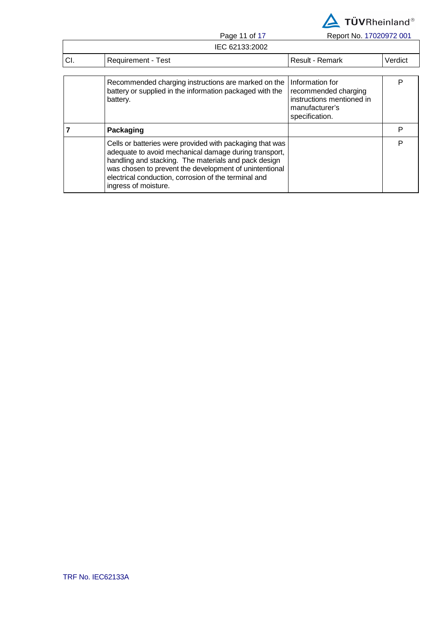

Page 11 of 17 Report No. 17020972 001

|     | IEC 62133:2002                                                                                                                                                                                                                      |                                                                                        |         |
|-----|-------------------------------------------------------------------------------------------------------------------------------------------------------------------------------------------------------------------------------------|----------------------------------------------------------------------------------------|---------|
| CI. | Requirement - Test                                                                                                                                                                                                                  | Result - Remark                                                                        | Verdict |
|     | Recommended charging instructions are marked on the<br>battery or supplied in the information packaged with the<br>battery.                                                                                                         | Information for<br>recommended charging<br>instructions mentioned in<br>manufacturer's | P       |
|     | Packaging                                                                                                                                                                                                                           | specification.                                                                         | P       |
|     | Cells or batteries were provided with packaging that was<br>adequate to avoid mechanical damage during transport,<br>handling and stacking. The materials and pack design<br>was chosen to prevent the development of unintentional |                                                                                        | P       |

electrical conduction, corrosion of the terminal and

ingress of moisture.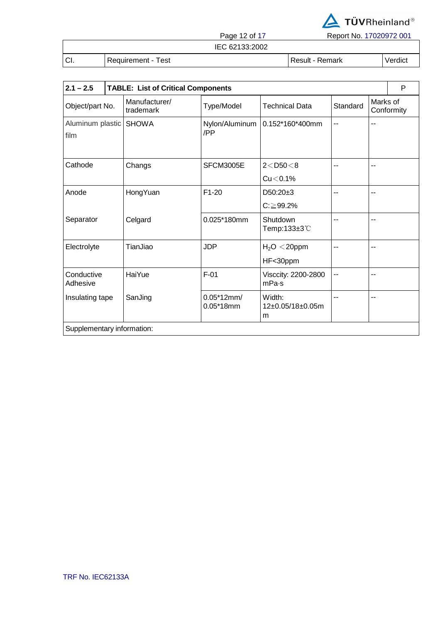

Page 12 of 17 Report No. 17020972 001

IEC 62133:2002

CI. Requirement - Test Result - Result - Remark Verdict

| $2.1 - 2.5$              | <b>TABLE: List of Critical Components</b> |                             |                                 |          | P                      |  |  |
|--------------------------|-------------------------------------------|-----------------------------|---------------------------------|----------|------------------------|--|--|
| Object/part No.          | Manufacturer/<br>trademark                | Type/Model                  | <b>Technical Data</b>           | Standard | Marks of<br>Conformity |  |  |
| Aluminum plastic<br>film | <b>SHOWA</b>                              | Nylon/Aluminum<br>/PP       | $0.152*160*400mm$               | --       |                        |  |  |
| Cathode                  | Changs                                    | SFCM3005E                   | $2 <$ D50 $<$ 8                 | --       |                        |  |  |
|                          |                                           |                             | $Cu < 0.1\%$                    |          |                        |  |  |
| Anode                    | HongYuan                                  | $F1-20$                     | $D50:20+3$                      | --       |                        |  |  |
|                          |                                           |                             | $C: \geq 99.2\%$                |          |                        |  |  |
| Separator                | Celgard                                   | 0.025*180mm                 | Shutdown<br>Temp:133±3℃         |          |                        |  |  |
| Electrolyte              | TianJiao                                  | <b>JDP</b>                  | $H2O < 20$ ppm                  | --       | $-$                    |  |  |
|                          |                                           |                             | HF<30ppm                        |          |                        |  |  |
| Conductive<br>Adhesive   | HaiYue                                    | $F-01$                      | Visccity: 2200-2800<br>mPa·s    | $-$      | $-$                    |  |  |
| Insulating tape          | SanJing                                   | $0.05*12mm/$<br>$0.05*18mm$ | Width:<br>12±0.05/18±0.05m<br>m |          |                        |  |  |
|                          | Supplementary information:                |                             |                                 |          |                        |  |  |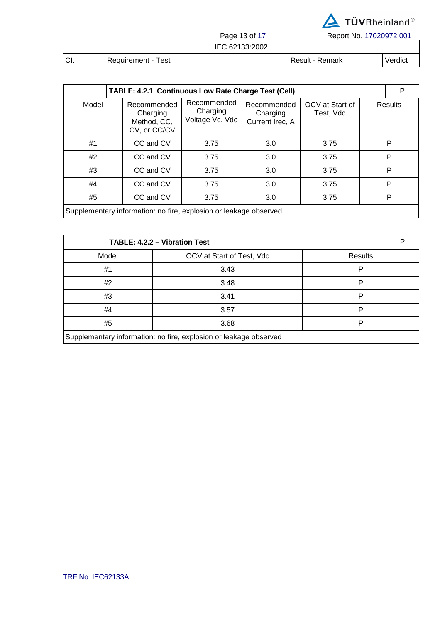

Page 13 of 17 Report No. 17020972 001

|    |                    | IEC 62133:2002 |                 |         |
|----|--------------------|----------------|-----------------|---------|
| CI | Requirement - Test |                | Result - Remark | Verdict |

| TABLE: 4.2.1 Continuous Low Rate Charge Test (Cell)               |  |                                                        |                                            |                                            |                              |  | P       |
|-------------------------------------------------------------------|--|--------------------------------------------------------|--------------------------------------------|--------------------------------------------|------------------------------|--|---------|
| Model                                                             |  | Recommended<br>Charging<br>Method, CC,<br>CV, or CC/CV | Recommended<br>Charging<br>Voltage Vc, Vdc | Recommended<br>Charging<br>Current Irec, A | OCV at Start of<br>Test, Vdc |  | Results |
| #1                                                                |  | CC and CV                                              | 3.75                                       | 3.0                                        | 3.75                         |  | P       |
| #2                                                                |  | CC and CV                                              | 3.75                                       | 3.0                                        | 3.75                         |  | P       |
| #3                                                                |  | CC and CV                                              | 3.75                                       | 3.0                                        | 3.75                         |  | P       |
| #4                                                                |  | CC and CV                                              | 3.75                                       | 3.0                                        | 3.75                         |  | P       |
| #5                                                                |  | CC and CV                                              | 3.75                                       | 3.0                                        | 3.75                         |  | P       |
| Supplementary information: no fire, explosion or leakage observed |  |                                                        |                                            |                                            |                              |  |         |

| TABLE: 4.2.2 - Vibration Test                                     |                           |                |  |  |
|-------------------------------------------------------------------|---------------------------|----------------|--|--|
| Model                                                             | OCV at Start of Test, Vdc | <b>Results</b> |  |  |
| #1                                                                | 3.43                      | P              |  |  |
| #2                                                                | 3.48                      | P              |  |  |
| #3                                                                | 3.41                      |                |  |  |
| #4                                                                | 3.57                      | Þ              |  |  |
| #5                                                                | 3.68                      | P              |  |  |
| Supplementary information: no fire, explosion or leakage observed |                           |                |  |  |

 $\overline{\phantom{a}}$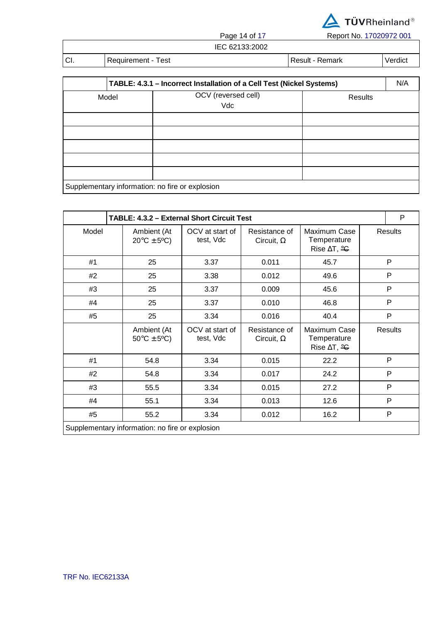

Page 14 of 17 Report No. 17020972 001

| IEC 62133:2002 |
|----------------|

| $\sim$<br>UI. | Requirement - Test | Result - Remark | Verdict |
|---------------|--------------------|-----------------|---------|

| TABLE: 4.3.1 - Incorrect Installation of a Cell Test (Nickel Systems) |                                                 |  |         |  |  |
|-----------------------------------------------------------------------|-------------------------------------------------|--|---------|--|--|
| Model                                                                 | OCV (reversed cell)<br>Vdc                      |  | Results |  |  |
|                                                                       |                                                 |  |         |  |  |
|                                                                       |                                                 |  |         |  |  |
|                                                                       |                                                 |  |         |  |  |
|                                                                       |                                                 |  |         |  |  |
|                                                                       |                                                 |  |         |  |  |
|                                                                       | Supplementary information: no fire or explosion |  |         |  |  |

|                                                 | <b>TABLE: 4.3.2 - External Short Circuit Test</b> |                                      |                              |                                    |                                                               |  | P              |
|-------------------------------------------------|---------------------------------------------------|--------------------------------------|------------------------------|------------------------------------|---------------------------------------------------------------|--|----------------|
| Model                                           |                                                   | Ambient (At<br>$20^{\circ}$ C ± 5°C) | OCV at start of<br>test, Vdc | Resistance of<br>Circuit, $\Omega$ | Maximum Case<br>Temperature<br>Rise $\Delta T$ , $\triangleq$ |  | <b>Results</b> |
| #1                                              |                                                   | 25                                   | 3.37                         | 0.011                              | 45.7                                                          |  | P              |
| #2                                              |                                                   | 25                                   | 3.38                         | 0.012                              | 49.6                                                          |  | P              |
| #3                                              |                                                   | 25                                   | 3.37                         | 0.009                              | 45.6                                                          |  | P              |
| #4                                              |                                                   | 25                                   | 3.37                         | 0.010                              | 46.8                                                          |  | $\mathsf{P}$   |
| #5                                              |                                                   | 25                                   | 3.34                         | 0.016                              | 40.4                                                          |  | P              |
|                                                 |                                                   | Ambient (At<br>$50^{\circ}$ C ± 5°C) | OCV at start of<br>test, Vdc | Resistance of<br>Circuit, $\Omega$ | Maximum Case<br>Temperature<br>Rise $\Delta T$ , $\triangleq$ |  | <b>Results</b> |
| #1                                              |                                                   | 54.8                                 | 3.34                         | 0.015                              | 22.2                                                          |  | P              |
| #2                                              |                                                   | 54.8                                 | 3.34                         | 0.017                              | 24.2                                                          |  | $\mathsf{P}$   |
| #3                                              |                                                   | 55.5                                 | 3.34                         | 0.015                              | 27.2                                                          |  | P              |
| #4                                              |                                                   | 55.1                                 | 3.34                         | 0.013                              | 12.6                                                          |  | P              |
| #5                                              |                                                   | 55.2                                 | 3.34                         | 0.012                              | 16.2                                                          |  | $\mathsf{P}$   |
| Supplementary information: no fire or explosion |                                                   |                                      |                              |                                    |                                                               |  |                |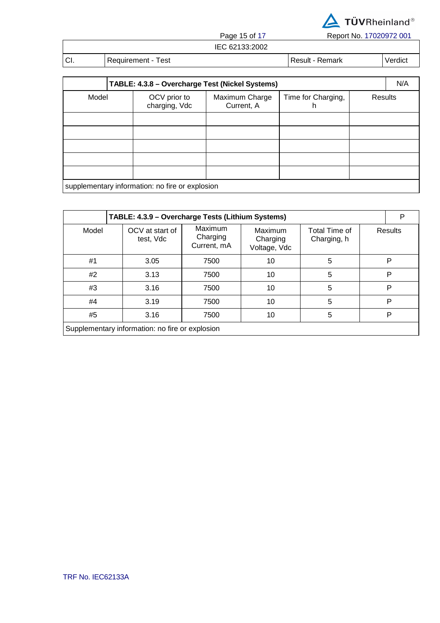

Page 15 of 17 Report No. 17020972 001

| IEC 62133:2002 |
|----------------|
|----------------|

| $\sim$<br>UI. | -<br>est<br>Requirement<br>$   -$ | <b>Dec.</b> 14<br>Remark<br>RASUIT |  |
|---------------|-----------------------------------|------------------------------------|--|

| TABLE: 4.3.8 - Overcharge Test (Nickel Systems) |                                                                                                   |  |         |  | N/A |  |
|-------------------------------------------------|---------------------------------------------------------------------------------------------------|--|---------|--|-----|--|
|                                                 | Time for Charging,<br>Model<br>OCV prior to<br>Maximum Charge<br>charging, Vdc<br>Current, A<br>h |  | Results |  |     |  |
|                                                 |                                                                                                   |  |         |  |     |  |
|                                                 |                                                                                                   |  |         |  |     |  |
|                                                 |                                                                                                   |  |         |  |     |  |
|                                                 |                                                                                                   |  |         |  |     |  |
|                                                 |                                                                                                   |  |         |  |     |  |
| supplementary information: no fire or explosion |                                                                                                   |  |         |  |     |  |

| TABLE: 4.3.9 - Overcharge Tests (Lithium Systems) |                              |                                    |                                     |                              |  | P       |  |
|---------------------------------------------------|------------------------------|------------------------------------|-------------------------------------|------------------------------|--|---------|--|
| Model                                             | OCV at start of<br>test, Vdc | Maximum<br>Charging<br>Current, mA | Maximum<br>Charging<br>Voltage, Vdc | Total Time of<br>Charging, h |  | Results |  |
| #1                                                | 3.05                         | 7500                               | 10                                  | 5                            |  | P       |  |
| #2                                                | 3.13                         | 7500                               | 10                                  | 5                            |  | P       |  |
| #3                                                | 3.16                         | 7500                               | 10                                  | 5                            |  | P       |  |
| #4                                                | 3.19                         | 7500                               | 10                                  | 5                            |  | P       |  |
| #5                                                | 3.16                         | 7500                               | 10                                  | 5                            |  | P       |  |
| Supplementary information: no fire or explosion   |                              |                                    |                                     |                              |  |         |  |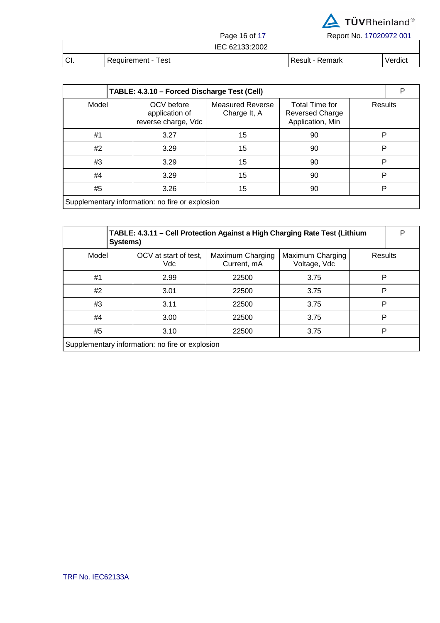

Page 16 of 17 Report No. 17020972 001

|      |                    | . uyv 100111   | 1.990111101.11020012.001 |         |
|------|--------------------|----------------|--------------------------|---------|
|      |                    | IEC 62133:2002 |                          |         |
| ±CI. | Requirement - Test |                | Result - Remark          | Verdict |

| TABLE: 4.3.10 - Forced Discharge Test (Cell)    |                                                     |                                         |                                                              |         | Р |  |
|-------------------------------------------------|-----------------------------------------------------|-----------------------------------------|--------------------------------------------------------------|---------|---|--|
| Model                                           | OCV before<br>application of<br>reverse charge, Vdc | <b>Measured Reverse</b><br>Charge It, A | Total Time for<br><b>Reversed Charge</b><br>Application, Min | Results |   |  |
| #1                                              | 3.27                                                | 15                                      | P<br>90                                                      |         |   |  |
| #2                                              | 3.29                                                | 15                                      | P<br>90                                                      |         |   |  |
| #3                                              | 3.29                                                | 15                                      | P<br>90                                                      |         |   |  |
| #4                                              | 3.29                                                | 15                                      | 90                                                           | P       |   |  |
| #5<br>3.26                                      |                                                     | 15                                      | 90                                                           | P       |   |  |
| Supplementary information: no fire or explosion |                                                     |                                         |                                                              |         |   |  |

|                                                 | TABLE: 4.3.11 - Cell Protection Against a High Charging Rate Test (Lithium<br>Systems) |                                 |                                  |         |  |  |
|-------------------------------------------------|----------------------------------------------------------------------------------------|---------------------------------|----------------------------------|---------|--|--|
| Model                                           | OCV at start of test,<br>Vdc                                                           | Maximum Charging<br>Current, mA | Maximum Charging<br>Voltage, Vdc | Results |  |  |
| #1                                              | 2.99                                                                                   | 22500                           | 3.75                             | P       |  |  |
| #2                                              | 3.01                                                                                   | 22500                           | 3.75                             | P       |  |  |
| #3                                              | 3.11                                                                                   | 22500                           | 3.75                             | P       |  |  |
| #4                                              | 3.00                                                                                   | 22500                           | 3.75                             | P       |  |  |
| #5                                              | 3.10                                                                                   | 22500                           | 3.75                             | P       |  |  |
| Supplementary information: no fire or explosion |                                                                                        |                                 |                                  |         |  |  |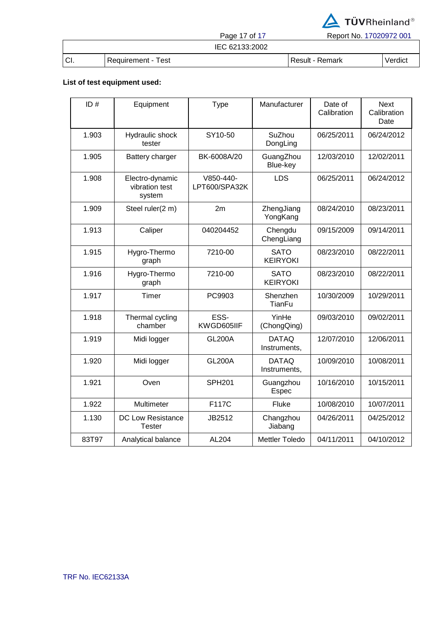

Page 17 of 17 Report No. 17020972 001

## IEC 62133:2002

CI. Requirement - Test Result - Result - Remark Verdict

### **List of test equipment used:**

| ID#   | Equipment                                   | <b>Type</b>                | Manufacturer                   | Date of<br>Calibration | <b>Next</b><br>Calibration<br>Date |
|-------|---------------------------------------------|----------------------------|--------------------------------|------------------------|------------------------------------|
| 1.903 | Hydraulic shock<br>tester                   | SY10-50                    | SuZhou<br>DongLing             | 06/25/2011             | 06/24/2012                         |
| 1.905 | Battery charger                             | BK-6008A/20                | GuangZhou<br>Blue-key          | 12/03/2010             | 12/02/2011                         |
| 1.908 | Electro-dynamic<br>vibration test<br>system | V850-440-<br>LPT600/SPA32K | <b>LDS</b>                     | 06/25/2011             | 06/24/2012                         |
| 1.909 | Steel ruler(2 m)                            | 2m                         | ZhengJiang<br>YongKang         | 08/24/2010             | 08/23/2011                         |
| 1.913 | Caliper                                     | 040204452                  | Chengdu<br>ChengLiang          | 09/15/2009             | 09/14/2011                         |
| 1.915 | Hygro-Thermo<br>graph                       | 7210-00                    | <b>SATO</b><br><b>KEIRYOKI</b> | 08/23/2010             | 08/22/2011                         |
| 1.916 | Hygro-Thermo<br>graph                       | 7210-00                    | <b>SATO</b><br><b>KEIRYOKI</b> | 08/23/2010             | 08/22/2011                         |
| 1.917 | Timer                                       | PC9903                     | Shenzhen<br><b>TianFu</b>      | 10/30/2009             | 10/29/2011                         |
| 1.918 | Thermal cycling<br>chamber                  | ESS-<br>KWGD605IIF         | YinHe<br>(ChongQing)           | 09/03/2010             | 09/02/2011                         |
| 1.919 | Midi logger                                 | <b>GL200A</b>              | <b>DATAQ</b><br>Instruments,   | 12/07/2010             | 12/06/2011                         |
| 1.920 | Midi logger                                 | <b>GL200A</b>              | <b>DATAQ</b><br>Instruments,   | 10/09/2010             | 10/08/2011                         |
| 1.921 | Oven                                        | <b>SPH201</b>              | Guangzhou<br>Espec             | 10/16/2010             | 10/15/2011                         |
| 1.922 | Multimeter                                  | F117C                      | Fluke                          | 10/08/2010             | 10/07/2011                         |
| 1.130 | DC Low Resistance<br><b>Tester</b>          | JB2512                     | Changzhou<br>Jiabang           | 04/26/2011             | 04/25/2012                         |
| 83T97 | Analytical balance                          | AL204                      | <b>Mettler Toledo</b>          | 04/11/2011             | 04/10/2012                         |